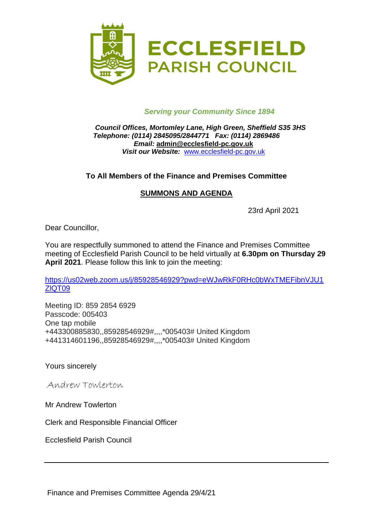

### *Serving your Community Since 1894*

#### *Council Offices, Mortomley Lane, High Green, Sheffield S35 3HS Telephone: (0114) 2845095/2844771 Fax: (0114) 2869486 Email:* **admin@ecclesfield-pc.gov.uk** *Visit our Website:* [www.ecclesfield-pc.gov.uk](http://www.ecclesfield-pc.gov.uk/)

### **To All Members of the Finance and Premises Committee**

### **SUMMONS AND AGENDA**

23rd April 2021

Dear Councillor,

You are respectfully summoned to attend the Finance and Premises Committee meeting of Ecclesfield Parish Council to be held virtually at **6.30pm on Thursday 29 April 2021**. Please follow this link to join the meeting:

[https://us02web.zoom.us/j/85928546929?pwd=eWJwRkF0RHc0bWxTMEFibnVJU1](https://us02web.zoom.us/j/85928546929?pwd=eWJwRkF0RHc0bWxTMEFibnVJU1ZlQT09) [ZlQT09](https://us02web.zoom.us/j/85928546929?pwd=eWJwRkF0RHc0bWxTMEFibnVJU1ZlQT09)

Meeting ID: 859 2854 6929 Passcode: 005403 One tap mobile +443300885830,,85928546929#,,,,\*005403# United Kingdom +441314601196,,85928546929#,,,,\*005403# United Kingdom

Yours sincerely

Andrew Towlerton

Mr Andrew Towlerton

Clerk and Responsible Financial Officer

Ecclesfield Parish Council

Finance and Premises Committee Agenda 29/4/21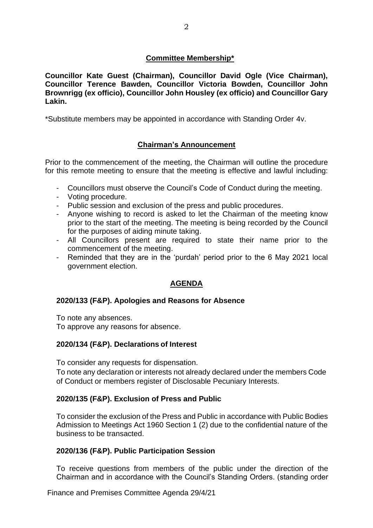### **Committee Membership\***

**Councillor Kate Guest (Chairman), Councillor David Ogle (Vice Chairman), Councillor Terence Bawden, Councillor Victoria Bowden, Councillor John Brownrigg (ex officio), Councillor John Housley (ex officio) and Councillor Gary Lakin.**

\*Substitute members may be appointed in accordance with Standing Order 4v.

## **Chairman's Announcement**

Prior to the commencement of the meeting, the Chairman will outline the procedure for this remote meeting to ensure that the meeting is effective and lawful including:

- Councillors must observe the Council's Code of Conduct during the meeting.
- Voting procedure.
- Public session and exclusion of the press and public procedures.
- Anyone wishing to record is asked to let the Chairman of the meeting know prior to the start of the meeting. The meeting is being recorded by the Council for the purposes of aiding minute taking.
- All Councillors present are required to state their name prior to the commencement of the meeting.
- Reminded that they are in the 'purdah' period prior to the 6 May 2021 local government election.

## **AGENDA**

### **2020/133 (F&P). Apologies and Reasons for Absence**

To note any absences.

To approve any reasons for absence.

### **2020/134 (F&P). Declarations of Interest**

To consider any requests for dispensation.

To note any declaration or interests not already declared under the members Code of Conduct or members register of Disclosable Pecuniary Interests.

### **2020/135 (F&P). Exclusion of Press and Public**

To consider the exclusion of the Press and Public in accordance with Public Bodies Admission to Meetings Act 1960 Section 1 (2) due to the confidential nature of the business to be transacted.

### **2020/136 (F&P). Public Participation Session**

To receive questions from members of the public under the direction of the Chairman and in accordance with the Council's Standing Orders. (standing order

Finance and Premises Committee Agenda 29/4/21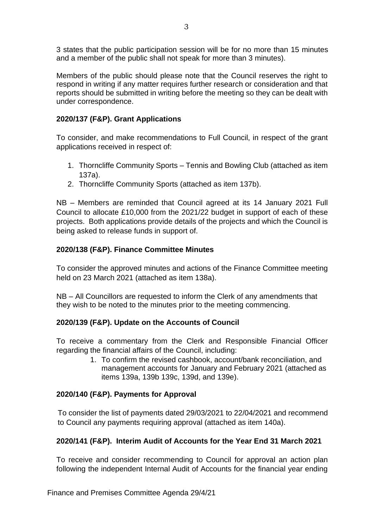3 states that the public participation session will be for no more than 15 minutes and a member of the public shall not speak for more than 3 minutes).

Members of the public should please note that the Council reserves the right to respond in writing if any matter requires further research or consideration and that reports should be submitted in writing before the meeting so they can be dealt with under correspondence.

## **2020/137 (F&P). Grant Applications**

To consider, and make recommendations to Full Council, in respect of the grant applications received in respect of:

- 1. Thorncliffe Community Sports Tennis and Bowling Club (attached as item 137a).
- 2. Thorncliffe Community Sports (attached as item 137b).

NB – Members are reminded that Council agreed at its 14 January 2021 Full Council to allocate £10,000 from the 2021/22 budget in support of each of these projects. Both applications provide details of the projects and which the Council is being asked to release funds in support of.

## **2020/138 (F&P). Finance Committee Minutes**

To consider the approved minutes and actions of the Finance Committee meeting held on 23 March 2021 (attached as item 138a).

NB – All Councillors are requested to inform the Clerk of any amendments that they wish to be noted to the minutes prior to the meeting commencing.

## **2020/139 (F&P). Update on the Accounts of Council**

To receive a commentary from the Clerk and Responsible Financial Officer regarding the financial affairs of the Council, including:

1. To confirm the revised cashbook, account/bank reconciliation, and management accounts for January and February 2021 (attached as items 139a, 139b 139c, 139d, and 139e).

# **2020/140 (F&P). Payments for Approval**

To consider the list of payments dated 29/03/2021 to 22/04/2021 and recommend to Council any payments requiring approval (attached as item 140a).

## **2020/141 (F&P). Interim Audit of Accounts for the Year End 31 March 2021**

To receive and consider recommending to Council for approval an action plan following the independent Internal Audit of Accounts for the financial year ending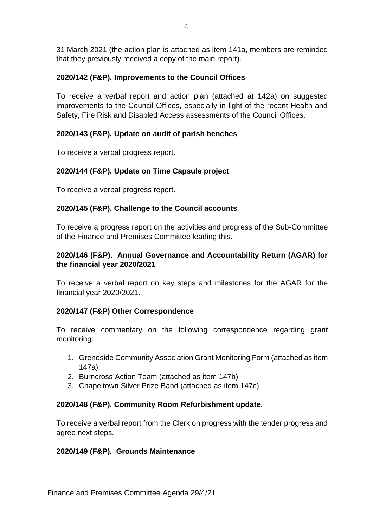31 March 2021 (the action plan is attached as item 141a, members are reminded that they previously received a copy of the main report).

## **2020/142 (F&P). Improvements to the Council Offices**

To receive a verbal report and action plan (attached at 142a) on suggested improvements to the Council Offices, especially in light of the recent Health and Safety, Fire Risk and Disabled Access assessments of the Council Offices.

## **2020/143 (F&P). Update on audit of parish benches**

To receive a verbal progress report.

## **2020/144 (F&P). Update on Time Capsule project**

To receive a verbal progress report.

## **2020/145 (F&P). Challenge to the Council accounts**

To receive a progress report on the activities and progress of the Sub-Committee of the Finance and Premises Committee leading this.

## **2020/146 (F&P). Annual Governance and Accountability Return (AGAR) for the financial year 2020/2021**

To receive a verbal report on key steps and milestones for the AGAR for the financial year 2020/2021.

## **2020/147 (F&P) Other Correspondence**

To receive commentary on the following correspondence regarding grant monitoring:

- 1. Grenoside Community Association Grant Monitoring Form (attached as item 147a)
- 2. Burncross Action Team (attached as item 147b)
- 3. Chapeltown Silver Prize Band (attached as item 147c)

## **2020/148 (F&P). Community Room Refurbishment update.**

To receive a verbal report from the Clerk on progress with the tender progress and agree next steps.

### **2020/149 (F&P). Grounds Maintenance**